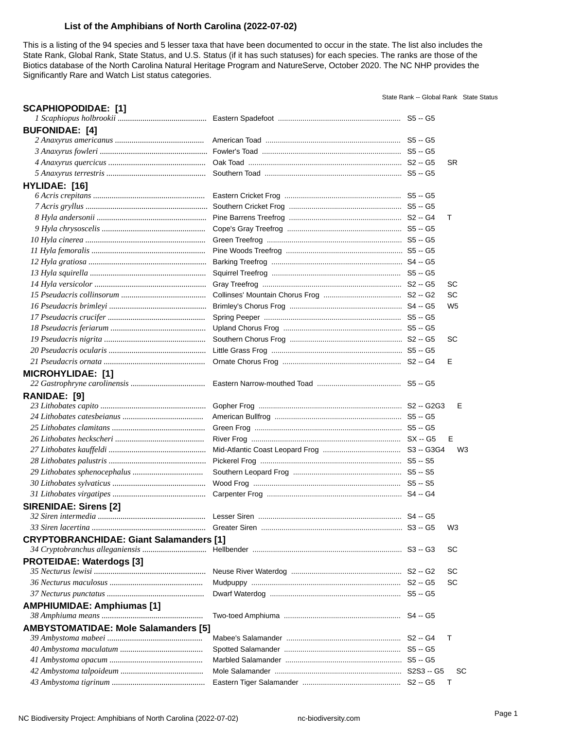# **List of the Amphibians of North Carolina (2022-07-02)**

This is a listing of the 94 species and 5 lesser taxa that have been documented to occur in the state. The list also includes the State Rank, Global Rank, State Status, and U.S. Status (if it has such statuses) for each species. The ranks are those of the Biotics database of the North Carolina Natural Heritage Program and NatureServe, October 2020. The NC NHP provides the Significantly Rare and Watch List status categories.

State Rank -- Global Rank State Status

| <b>SCAPHIOPODIDAE: [1]</b>                     |  |                |
|------------------------------------------------|--|----------------|
| <b>BUFONIDAE: [4]</b>                          |  |                |
|                                                |  |                |
|                                                |  |                |
|                                                |  | SR.            |
|                                                |  |                |
|                                                |  |                |
| HYLIDAE: [16]                                  |  |                |
|                                                |  |                |
|                                                |  | Т              |
|                                                |  |                |
|                                                |  |                |
|                                                |  |                |
|                                                |  |                |
|                                                |  |                |
|                                                |  |                |
|                                                |  | SC             |
|                                                |  | SC             |
|                                                |  | W <sub>5</sub> |
|                                                |  |                |
|                                                |  |                |
|                                                |  | SC             |
|                                                |  |                |
|                                                |  | Е              |
| <b>MICROHYLIDAE: [1]</b>                       |  |                |
| RANIDAE: [9]                                   |  |                |
|                                                |  | Е              |
|                                                |  |                |
|                                                |  |                |
|                                                |  | Е              |
|                                                |  | W <sub>3</sub> |
|                                                |  |                |
|                                                |  |                |
|                                                |  |                |
|                                                |  |                |
|                                                |  |                |
|                                                |  |                |
| <b>SIRENIDAE: Sirens [2]</b>                   |  |                |
|                                                |  | W3             |
|                                                |  |                |
| <b>CRYPTOBRANCHIDAE: Giant Salamanders [1]</b> |  | SC             |
|                                                |  |                |
| <b>PROTEIDAE: Waterdogs [3]</b>                |  | SC             |
|                                                |  |                |
|                                                |  | SC             |
|                                                |  |                |
| <b>AMPHIUMIDAE: Amphiumas [1]</b>              |  |                |
|                                                |  |                |
| <b>AMBYSTOMATIDAE: Mole Salamanders [5]</b>    |  | т              |
|                                                |  |                |
|                                                |  |                |
|                                                |  |                |
|                                                |  | <b>SC</b><br>Т |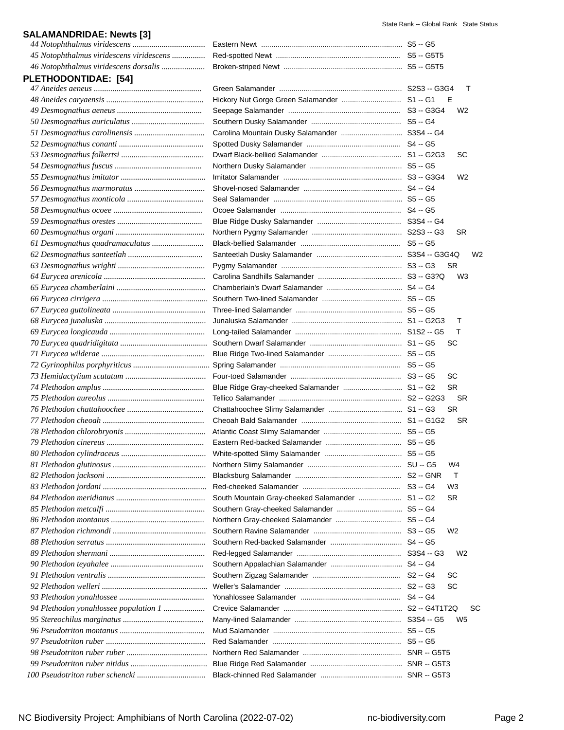# **SALAMANDRIDAE: Newts [3]**  *44 Notophthalmus viridescens ...................................* Eastern Newt ..................................................................... S5 -- G5 *45 Notophthalmus viridescens viridescens ................* Red-spotted Newt ............................................................. S5 -- G5T5 *46 Notophthalmus viridescens dorsalis .....................* Broken-striped Newt .......................................................... S5 -- G5T5 **PLETHODONTIDAE: [54]**  *47 Aneides aeneus ....................................................* Green Salamander ............................................................ S2S3 -- G3G4 T *48 Aneides caryaensis ...............................................* Hickory Nut Gorge Green Salamander ............................. S1 -- G1 E *49 Desmognathus aeneus .........................................* Seepage Salamander ....................................................... S3 -- G3G4 W2 *50 Desmognathus auriculatus ...................................* Southern Dusky Salamander ............................................ S5 -- G4 *51 Desmognathus carolinensis ..................................* Carolina Mountain Dusky Salamander .............................. S3S4 -- G4 *52 Desmognathus conanti .........................................* Spotted Dusky Salamander .............................................. S4 -- G5 *53 Desmognathus folkertsi ........................................* Dwarf Black-bellied Salamander ....................................... S1 -- G2G3 SC *54 Desmognathus fuscus ..........................................* Northern Dusky Salamander ............................................. S5 -- G5 *55 Desmognathus imitator .........................................* Imitator Salamander .......................................................... S3 -- G3G4 W2 *56 Desmognathus marmoratus ..................................* Shovel-nosed Salamander ................................................ S4 -- G4 *57 Desmognathus monticola .....................................* Seal Salamander ............................................................... S5 -- G5 *58 Desmognathus ocoee ...........................................* Ocoee Salamander ........................................................... S4 -- G5 *59 Desmognathus orestes .........................................* Blue Ridge Dusky Salamander ......................................... S3S4 -- G4 *60 Desmognathus organi ...........................................* Northern Pygmy Salamander ............................................ S2S3 -- G3 SR *61 Desmognathus quadramaculatus .........................* Black-bellied Salamander ................................................. S5 -- G5 *62 Desmognathus santeetlah ....................................* Santeetlah Dusky Salamander .......................................... S3S4 -- G3G4Q W2 *63 Desmognathus wrighti ..........................................* Pygmy Salamander ........................................................... S3 -- G3 SR *64 Eurycea arenicola .................................................* Carolina Sandhills Salamander ......................................... S3 -- G3?Q W3 *65 Eurycea chamberlaini ...........................................* Chamberlain's Dwarf Salamander ..................................... S4 -- G4 *66 Eurycea cirrigera ...................................................* Southern Two-lined Salamander ....................................... S5 -- G5 *67 Eurycea guttolineata .............................................* Three-lined Salamander .................................................... S5 -- G5 *68 Eurycea junaluska .................................................* Junaluska Salamander ...................................................... S1 -- G2G3 T *69 Eurycea longicauda ..............................................* Long-tailed Salamander .................................................... S1S2 -- G5 T *70 Eurycea quadridigitata ..........................................* Southern Dwarf Salamander ............................................. S1 -- G5 SC *71 Eurycea wilderae ..................................................* Blue Ridge Two-lined Salamander .................................... S5 -- G5 *72 Gyrinophilus porphyriticus .....................................* Spring Salamander ........................................................... S5 -- G5 *73 Hemidactylium scutatum .......................................* Four-toed Salamander ...................................................... S3 -- G5 SC *74 Plethodon amplus .................................................* Blue Ridge Gray-cheeked Salamander ............................. S1 -- G2 SR *75 Plethodon aureolus ...............................................* Tellico Salamander ............................................................ S2 -- G2G3 SR *76 Plethodon chattahoochee .....................................* Chattahoochee Slimy Salamander .................................... S1 -- G3 SR *77 Plethodon cheoah .................................................* Cheoah Bald Salamander ................................................. S1 -- G1G2 SR *78 Plethodon chlorobryonis .......................................* Atlantic Coast Slimy Salamander ...................................... S5 -- G5 *79 Plethodon cinereus ...............................................* Eastern Red-backed Salamander ..................................... S5 -- G5 *80 Plethodon cylindraceus .........................................* White-spotted Slimy Salamander ...................................... S5 -- G5 *81 Plethodon glutinosus .............................................* Northern Slimy Salamander .............................................. SU -- G5 W4 *82 Plethodon jacksoni ................................................* Blacksburg Salamander .................................................... S2 -- GNR T *83 Plethodon jordani ..................................................* Red-cheeked Salamander ................................................ S3 -- G4 W3 *84 Plethodon meridianus ...........................................* South Mountain Gray-cheeked Salamander ..................... S1 -- G2 SR *85 Plethodon metcalfi ................................................* Southern Gray-cheeked Salamander ................................ S5 -- G4 *86 Plethodon montanus .............................................* Northern Gray-cheeked Salamander ................................ S5 -- G4 *87 Plethodon richmondi .............................................* Southern Ravine Salamander ........................................... S3 -- G5 W2 *88 Plethodon serratus ................................................* Southern Red-backed Salamander ................................... S4 -- G5 *89 Plethodon shermani ..............................................* Red-legged Salamander ................................................... S3S4 -- G3 W2 *90 Plethodon teyahalee .............................................* Southern Appalachian Salamander ................................... S4 -- G4 *91 Plethodon ventralis ...............................................* Southern Zigzag Salamander ........................................... S2 -- G4 SC *92 Plethodon welleri ...................................................* Weller's Salamander ......................................................... S2 -- G3 SC *93 Plethodon yonahlossee .........................................* Yonahlossee Salamander ................................................. S4 -- G4 *94 Plethodon yonahlossee population 1 ....................* Crevice Salamander .......................................................... S2 -- G4T1T2Q SC *95 Stereochilus marginatus .......................................* Many-lined Salamander .................................................... S3S4 -- G5 W5 *96 Pseudotriton montanus .........................................* Mud Salamander ............................................................... S5 -- G5 *97 Pseudotriton ruber ................................................* Red Salamander ............................................................... S5 -- G5 *98 Pseudotriton ruber ruber .......................................* Northern Red Salamander ................................................ SNR -- G5T5 *99 Pseudotriton ruber nitidus .....................................* Blue Ridge Red Salamander ............................................. SNR -- G5T3 *100 Pseudotriton ruber schencki .................................* Black-chinned Red Salamander ........................................ SNR -- G5T3